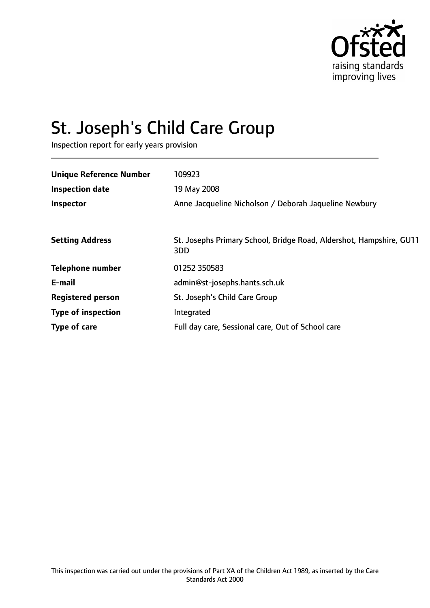

# St. Joseph's Child Care Group

Inspection report for early years provision

| <b>Unique Reference Number</b> | 109923                                                                     |
|--------------------------------|----------------------------------------------------------------------------|
| <b>Inspection date</b>         | 19 May 2008                                                                |
| Inspector                      | Anne Jacqueline Nicholson / Deborah Jaqueline Newbury                      |
|                                |                                                                            |
| <b>Setting Address</b>         | St. Josephs Primary School, Bridge Road, Aldershot, Hampshire, GU11<br>3DD |
| <b>Telephone number</b>        | 01252 350583                                                               |
| E-mail                         | admin@st-josephs.hants.sch.uk                                              |
| <b>Registered person</b>       | St. Joseph's Child Care Group                                              |
| <b>Type of inspection</b>      | Integrated                                                                 |
| Type of care                   | Full day care, Sessional care, Out of School care                          |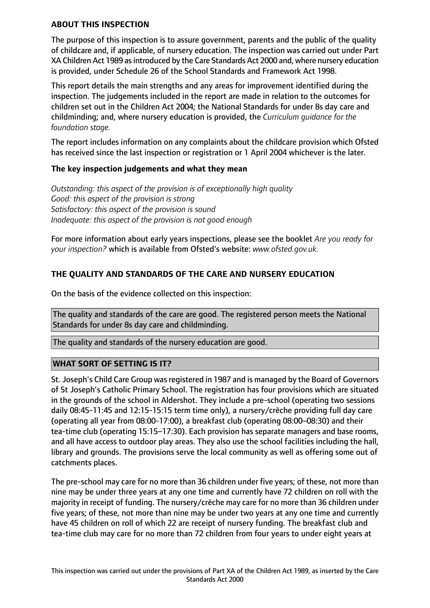### **ABOUT THIS INSPECTION**

The purpose of this inspection is to assure government, parents and the public of the quality of childcare and, if applicable, of nursery education. The inspection was carried out under Part XA Children Act 1989 asintroduced by the Care Standards Act 2000 and, where nursery education is provided, under Schedule 26 of the School Standards and Framework Act 1998.

This report details the main strengths and any areas for improvement identified during the inspection. The judgements included in the report are made in relation to the outcomes for children set out in the Children Act 2004; the National Standards for under 8s day care and childminding; and, where nursery education is provided, the *Curriculum guidance for the foundation stage.*

The report includes information on any complaints about the childcare provision which Ofsted has received since the last inspection or registration or 1 April 2004 whichever is the later.

### **The key inspection judgements and what they mean**

*Outstanding: this aspect of the provision is of exceptionally high quality Good: this aspect of the provision is strong Satisfactory: this aspect of the provision is sound Inadequate: this aspect of the provision is not good enough*

For more information about early years inspections, please see the booklet *Are you ready for your inspection?* which is available from Ofsted's website: *www.ofsted.gov.uk.*

# **THE QUALITY AND STANDARDS OF THE CARE AND NURSERY EDUCATION**

On the basis of the evidence collected on this inspection:

The quality and standards of the care are good. The registered person meets the National Standards for under 8s day care and childminding.

The quality and standards of the nursery education are good.

### **WHAT SORT OF SETTING IS IT?**

St. Joseph's Child Care Group was registered in 1987 and is managed by the Board of Governors of St Joseph's Catholic Primary School. The registration has four provisions which are situated in the grounds of the school in Aldershot. They include a pre-school (operating two sessions daily 08:45-11:45 and 12:15-15:15 term time only), a nursery/crèche providing full day care (operating all year from 08:00-17:00), a breakfast club (operating 08:00–08:30) and their tea-time club (operating 15:15–17:30). Each provision has separate managers and base rooms, and all have access to outdoor play areas. They also use the school facilities including the hall, library and grounds. The provisions serve the local community as well as offering some out of catchments places.

The pre-school may care for no more than 36 children under five years; of these, not more than nine may be under three years at any one time and currently have 72 children on roll with the majority in receipt of funding. The nursery/crèche may care for no more than 36 children under five years; of these, not more than nine may be under two years at any one time and currently have 45 children on roll of which 22 are receipt of nursery funding. The breakfast club and tea-time club may care for no more than 72 children from four years to under eight years at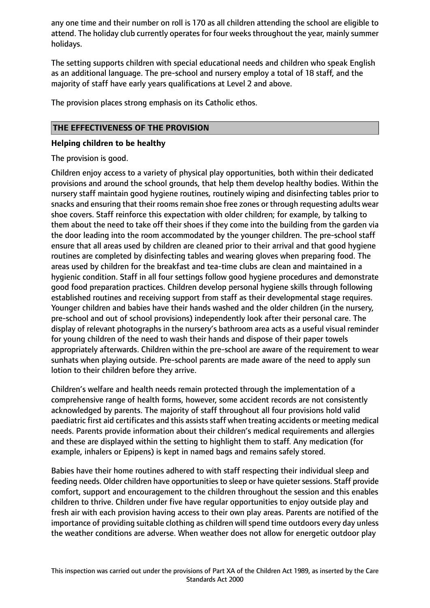any one time and their number on roll is 170 as all children attending the school are eligible to attend. The holiday club currently operates for four weeks throughout the year, mainly summer holidays.

The setting supports children with special educational needs and children who speak English as an additional language. The pre-school and nursery employ a total of 18 staff, and the majority of staff have early years qualifications at Level 2 and above.

The provision places strong emphasis on its Catholic ethos.

## **THE EFFECTIVENESS OF THE PROVISION**

#### **Helping children to be healthy**

The provision is good.

Children enjoy access to a variety of physical play opportunities, both within their dedicated provisions and around the school grounds, that help them develop healthy bodies. Within the nursery staff maintain good hygiene routines, routinely wiping and disinfecting tables prior to snacks and ensuring that their rooms remain shoe free zones or through requesting adults wear shoe covers. Staff reinforce this expectation with older children; for example, by talking to them about the need to take off their shoes if they come into the building from the garden via the door leading into the room accommodated by the younger children. The pre-school staff ensure that all areas used by children are cleaned prior to their arrival and that good hygiene routines are completed by disinfecting tables and wearing gloves when preparing food. The areas used by children for the breakfast and tea-time clubs are clean and maintained in a hygienic condition. Staff in all four settings follow good hygiene procedures and demonstrate good food preparation practices. Children develop personal hygiene skills through following established routines and receiving support from staff as their developmental stage requires. Younger children and babies have their hands washed and the older children (in the nursery, pre-school and out of school provisions) independently look after their personal care. The display of relevant photographs in the nursery's bathroom area acts as a useful visual reminder for young children of the need to wash their hands and dispose of their paper towels appropriately afterwards. Children within the pre-school are aware of the requirement to wear sunhats when playing outside. Pre-school parents are made aware of the need to apply sun lotion to their children before they arrive.

Children's welfare and health needs remain protected through the implementation of a comprehensive range of health forms, however, some accident records are not consistently acknowledged by parents. The majority of staff throughout all four provisions hold valid paediatric first aid certificates and this assists staff when treating accidents or meeting medical needs. Parents provide information about their children's medical requirements and allergies and these are displayed within the setting to highlight them to staff. Any medication (for example, inhalers or Epipens) is kept in named bags and remains safely stored.

Babies have their home routines adhered to with staff respecting their individual sleep and feeding needs. Older children have opportunities to sleep or have quieter sessions. Staff provide comfort, support and encouragement to the children throughout the session and this enables children to thrive. Children under five have regular opportunities to enjoy outside play and fresh air with each provision having access to their own play areas. Parents are notified of the importance of providing suitable clothing as children will spend time outdoors every day unless the weather conditions are adverse. When weather does not allow for energetic outdoor play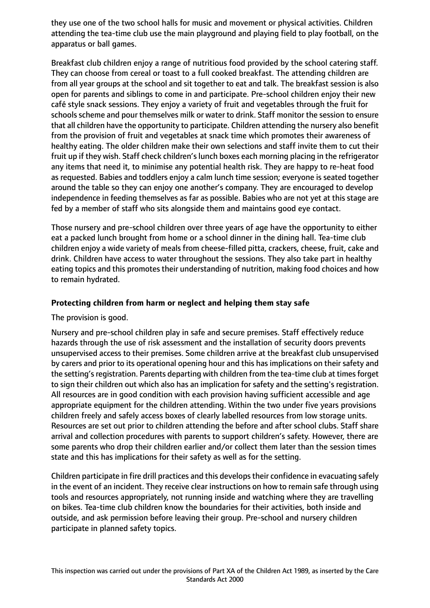they use one of the two school halls for music and movement or physical activities. Children attending the tea-time club use the main playground and playing field to play football, on the apparatus or ball games.

Breakfast club children enjoy a range of nutritious food provided by the school catering staff. They can choose from cereal or toast to a full cooked breakfast. The attending children are from all year groups at the school and sit together to eat and talk. The breakfast session is also open for parents and siblings to come in and participate. Pre-school children enjoy their new café style snack sessions. They enjoy a variety of fruit and vegetables through the fruit for schools scheme and pour themselves milk or water to drink. Staff monitor the session to ensure that all children have the opportunity to participate. Children attending the nursery also benefit from the provision of fruit and vegetables at snack time which promotes their awareness of healthy eating. The older children make their own selections and staff invite them to cut their fruit up if they wish. Staff check children's lunch boxes each morning placing in the refrigerator any items that need it, to minimise any potential health risk. They are happy to re-heat food as requested. Babies and toddlers enjoy a calm lunch time session; everyone is seated together around the table so they can enjoy one another's company. They are encouraged to develop independence in feeding themselves as far as possible. Babies who are not yet at this stage are fed by a member of staff who sits alongside them and maintains good eye contact.

Those nursery and pre-school children over three years of age have the opportunity to either eat a packed lunch brought from home or a school dinner in the dining hall. Tea-time club children enjoy a wide variety of meals from cheese-filled pitta, crackers, cheese, fruit, cake and drink. Children have access to water throughout the sessions. They also take part in healthy eating topics and this promotes their understanding of nutrition, making food choices and how to remain hydrated.

# **Protecting children from harm or neglect and helping them stay safe**

The provision is good.

Nursery and pre-school children play in safe and secure premises. Staff effectively reduce hazards through the use of risk assessment and the installation of security doors prevents unsupervised access to their premises. Some children arrive at the breakfast club unsupervised by carers and prior to its operational opening hour and this has implications on their safety and the setting's registration. Parents departing with children from the tea-time club at times forget to sign their children out which also has an implication for safety and the setting's registration. All resources are in good condition with each provision having sufficient accessible and age appropriate equipment for the children attending. Within the two under five years provisions children freely and safely access boxes of clearly labelled resources from low storage units. Resources are set out prior to children attending the before and after school clubs. Staff share arrival and collection procedures with parents to support children's safety. However, there are some parents who drop their children earlier and/or collect them later than the session times state and this has implications for their safety as well as for the setting.

Children participate in fire drill practices and this develops their confidence in evacuating safely in the event of an incident. They receive clear instructions on how to remain safe through using tools and resources appropriately, not running inside and watching where they are travelling on bikes. Tea-time club children know the boundaries for their activities, both inside and outside, and ask permission before leaving their group. Pre-school and nursery children participate in planned safety topics.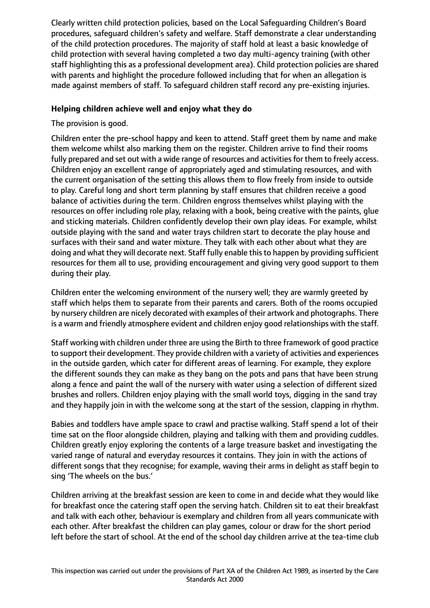Clearly written child protection policies, based on the Local Safeguarding Children's Board procedures, safeguard children's safety and welfare. Staff demonstrate a clear understanding of the child protection procedures. The majority of staff hold at least a basic knowledge of child protection with several having completed a two day multi-agency training (with other staff highlighting this as a professional development area). Child protection policies are shared with parents and highlight the procedure followed including that for when an allegation is made against members of staff. To safeguard children staff record any pre-existing injuries.

## **Helping children achieve well and enjoy what they do**

The provision is good.

Children enter the pre-school happy and keen to attend. Staff greet them by name and make them welcome whilst also marking them on the register. Children arrive to find their rooms fully prepared and set out with a wide range of resources and activities for them to freely access. Children enjoy an excellent range of appropriately aged and stimulating resources, and with the current organisation of the setting this allows them to flow freely from inside to outside to play. Careful long and short term planning by staff ensures that children receive a good balance of activities during the term. Children engross themselves whilst playing with the resources on offer including role play, relaxing with a book, being creative with the paints, glue and sticking materials. Children confidently develop their own play ideas. For example, whilst outside playing with the sand and water trays children start to decorate the play house and surfaces with their sand and water mixture. They talk with each other about what they are doing and what they will decorate next. Staff fully enable thisto happen by providing sufficient resources for them all to use, providing encouragement and giving very good support to them during their play.

Children enter the welcoming environment of the nursery well; they are warmly greeted by staff which helps them to separate from their parents and carers. Both of the rooms occupied by nursery children are nicely decorated with examples of their artwork and photographs. There is a warm and friendly atmosphere evident and children enjoy good relationships with the staff.

Staff working with children under three are using the Birth to three framework of good practice to support their development. They provide children with a variety of activities and experiences in the outside garden, which cater for different areas of learning. For example, they explore the different sounds they can make as they bang on the pots and pans that have been strung along a fence and paint the wall of the nursery with water using a selection of different sized brushes and rollers. Children enjoy playing with the small world toys, digging in the sand tray and they happily join in with the welcome song at the start of the session, clapping in rhythm.

Babies and toddlers have ample space to crawl and practise walking. Staff spend a lot of their time sat on the floor alongside children, playing and talking with them and providing cuddles. Children greatly enjoy exploring the contents of a large treasure basket and investigating the varied range of natural and everyday resources it contains. They join in with the actions of different songs that they recognise; for example, waving their arms in delight as staff begin to sing 'The wheels on the bus.'

Children arriving at the breakfast session are keen to come in and decide what they would like for breakfast once the catering staff open the serving hatch. Children sit to eat their breakfast and talk with each other, behaviour is exemplary and children from all years communicate with each other. After breakfast the children can play games, colour or draw for the short period left before the start of school. At the end of the school day children arrive at the tea-time club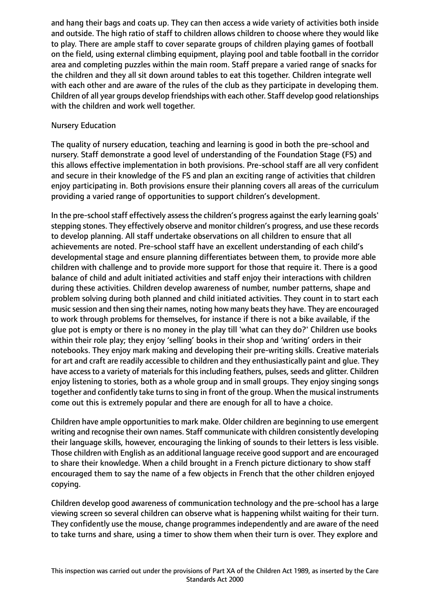and hang their bags and coats up. They can then access a wide variety of activities both inside and outside. The high ratio of staff to children allows children to choose where they would like to play. There are ample staff to cover separate groups of children playing games of football on the field, using external climbing equipment, playing pool and table football in the corridor area and completing puzzles within the main room. Staff prepare a varied range of snacks for the children and they all sit down around tables to eat this together. Children integrate well with each other and are aware of the rules of the club as they participate in developing them. Children of all year groups develop friendships with each other. Staff develop good relationships with the children and work well together.

### Nursery Education

The quality of nursery education, teaching and learning is good in both the pre-school and nursery. Staff demonstrate a good level of understanding of the Foundation Stage (FS) and this allows effective implementation in both provisions. Pre-school staff are all very confident and secure in their knowledge of the FS and plan an exciting range of activities that children enjoy participating in. Both provisions ensure their planning covers all areas of the curriculum providing a varied range of opportunities to support children's development.

In the pre-school staff effectively assess the children's progress against the early learning goals' stepping stones. They effectively observe and monitor children's progress, and use these records to develop planning. All staff undertake observations on all children to ensure that all achievements are noted. Pre-school staff have an excellent understanding of each child's developmental stage and ensure planning differentiates between them, to provide more able children with challenge and to provide more support for those that require it. There is a good balance of child and adult initiated activities and staff enjoy their interactions with children during these activities. Children develop awareness of number, number patterns, shape and problem solving during both planned and child initiated activities. They count in to start each music session and then sing their names, noting how many beats they have. They are encouraged to work through problems for themselves, for instance if there is not a bike available, if the glue pot is empty or there is no money in the play till 'what can they do?' Children use books within their role play; they enjoy 'selling' books in their shop and 'writing' orders in their notebooks. They enjoy mark making and developing their pre-writing skills. Creative materials for art and craft are readily accessible to children and they enthusiastically paint and glue. They have access to a variety of materials for this including feathers, pulses, seeds and glitter. Children enjoy listening to stories, both as a whole group and in small groups. They enjoy singing songs together and confidently take turns to sing in front of the group. When the musical instruments come out this is extremely popular and there are enough for all to have a choice.

Children have ample opportunitiesto mark make. Older children are beginning to use emergent writing and recognise their own names. Staff communicate with children consistently developing their language skills, however, encouraging the linking of sounds to their letters is less visible. Those children with English as an additional language receive good support and are encouraged to share their knowledge. When a child brought in a French picture dictionary to show staff encouraged them to say the name of a few objects in French that the other children enjoyed copying.

Children develop good awareness of communication technology and the pre-school has a large viewing screen so several children can observe what is happening whilst waiting for their turn. They confidently use the mouse, change programmes independently and are aware of the need to take turns and share, using a timer to show them when their turn is over. They explore and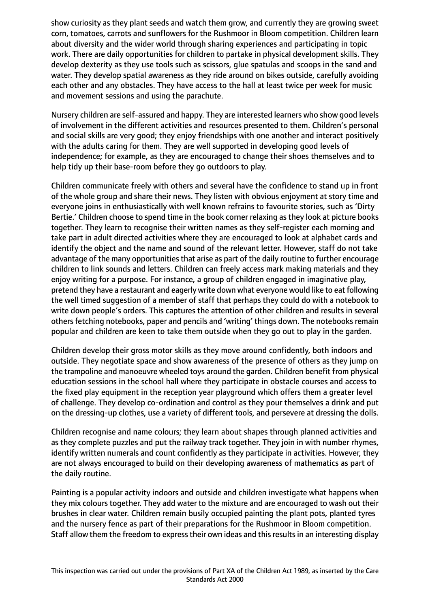show curiosity as they plant seeds and watch them grow, and currently they are growing sweet corn, tomatoes, carrots and sunflowers for the Rushmoor in Bloom competition. Children learn about diversity and the wider world through sharing experiences and participating in topic work. There are daily opportunities for children to partake in physical development skills. They develop dexterity as they use tools such as scissors, glue spatulas and scoops in the sand and water. They develop spatial awareness as they ride around on bikes outside, carefully avoiding each other and any obstacles. They have access to the hall at least twice per week for music and movement sessions and using the parachute.

Nursery children are self-assured and happy. They are interested learners who show good levels of involvement in the different activities and resources presented to them. Children's personal and social skills are very good; they enjoy friendships with one another and interact positively with the adults caring for them. They are well supported in developing good levels of independence; for example, as they are encouraged to change their shoes themselves and to help tidy up their base-room before they go outdoors to play.

Children communicate freely with others and several have the confidence to stand up in front of the whole group and share their news. They listen with obvious enjoyment at story time and everyone joins in enthusiastically with well known refrains to favourite stories, such as 'Dirty Bertie.' Children choose to spend time in the book corner relaxing as they look at picture books together. They learn to recognise their written names as they self-register each morning and take part in adult directed activities where they are encouraged to look at alphabet cards and identify the object and the name and sound of the relevant letter. However, staff do not take advantage of the many opportunities that arise as part of the daily routine to further encourage children to link sounds and letters. Children can freely access mark making materials and they enjoy writing for a purpose. For instance, a group of children engaged in imaginative play, pretend they have a restaurant and eagerly write down what everyone would like to eat following the well timed suggestion of a member of staff that perhaps they could do with a notebook to write down people's orders. This captures the attention of other children and results in several others fetching notebooks, paper and pencils and 'writing' things down. The notebooks remain popular and children are keen to take them outside when they go out to play in the garden.

Children develop their gross motor skills as they move around confidently, both indoors and outside. They negotiate space and show awareness of the presence of others as they jump on the trampoline and manoeuvre wheeled toys around the garden. Children benefit from physical education sessions in the school hall where they participate in obstacle courses and access to the fixed play equipment in the reception year playground which offers them a greater level of challenge. They develop co-ordination and control as they pour themselves a drink and put on the dressing-up clothes, use a variety of different tools, and persevere at dressing the dolls.

Children recognise and name colours; they learn about shapes through planned activities and as they complete puzzles and put the railway track together. They join in with number rhymes, identify written numerals and count confidently as they participate in activities. However, they are not always encouraged to build on their developing awareness of mathematics as part of the daily routine.

Painting is a popular activity indoors and outside and children investigate what happens when they mix colours together. They add water to the mixture and are encouraged to wash out their brushes in clear water. Children remain busily occupied painting the plant pots, planted tyres and the nursery fence as part of their preparations for the Rushmoor in Bloom competition. Staff allow them the freedom to express their own ideas and this results in an interesting display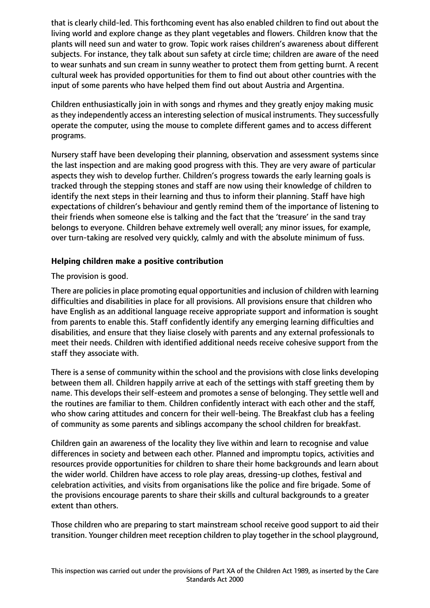that is clearly child-led. This forthcoming event has also enabled children to find out about the living world and explore change as they plant vegetables and flowers. Children know that the plants will need sun and water to grow. Topic work raises children's awareness about different subjects. For instance, they talk about sun safety at circle time; children are aware of the need to wear sunhats and sun cream in sunny weather to protect them from getting burnt. A recent cultural week has provided opportunities for them to find out about other countries with the input of some parents who have helped them find out about Austria and Argentina.

Children enthusiastically join in with songs and rhymes and they greatly enjoy making music as they independently access an interesting selection of musical instruments. They successfully operate the computer, using the mouse to complete different games and to access different programs.

Nursery staff have been developing their planning, observation and assessment systems since the last inspection and are making good progress with this. They are very aware of particular aspects they wish to develop further. Children's progress towards the early learning goals is tracked through the stepping stones and staff are now using their knowledge of children to identify the next steps in their learning and thus to inform their planning. Staff have high expectations of children's behaviour and gently remind them of the importance of listening to their friends when someone else is talking and the fact that the 'treasure' in the sand tray belongs to everyone. Children behave extremely well overall; any minor issues, for example, over turn-taking are resolved very quickly, calmly and with the absolute minimum of fuss.

# **Helping children make a positive contribution**

The provision is good.

There are policies in place promoting equal opportunities and inclusion of children with learning difficulties and disabilities in place for all provisions. All provisions ensure that children who have English as an additional language receive appropriate support and information is sought from parents to enable this. Staff confidently identify any emerging learning difficulties and disabilities, and ensure that they liaise closely with parents and any external professionals to meet their needs. Children with identified additional needs receive cohesive support from the staff they associate with.

There is a sense of community within the school and the provisions with close links developing between them all. Children happily arrive at each of the settings with staff greeting them by name. This develops their self-esteem and promotes a sense of belonging. They settle well and the routines are familiar to them. Children confidently interact with each other and the staff, who show caring attitudes and concern for their well-being. The Breakfast club has a feeling of community as some parents and siblings accompany the school children for breakfast.

Children gain an awareness of the locality they live within and learn to recognise and value differences in society and between each other. Planned and impromptu topics, activities and resources provide opportunities for children to share their home backgrounds and learn about the wider world. Children have access to role play areas, dressing-up clothes, festival and celebration activities, and visits from organisations like the police and fire brigade. Some of the provisions encourage parents to share their skills and cultural backgrounds to a greater extent than others.

Those children who are preparing to start mainstream school receive good support to aid their transition. Younger children meet reception children to play together in the school playground,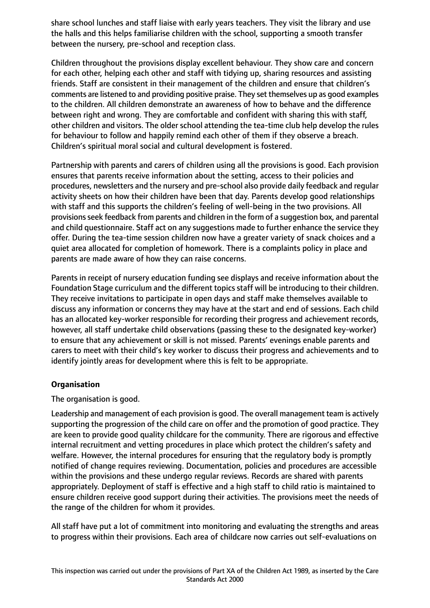share school lunches and staff liaise with early years teachers. They visit the library and use the halls and this helps familiarise children with the school, supporting a smooth transfer between the nursery, pre-school and reception class.

Children throughout the provisions display excellent behaviour. They show care and concern for each other, helping each other and staff with tidying up, sharing resources and assisting friends. Staff are consistent in their management of the children and ensure that children's comments are listened to and providing positive praise. They set themselves up as good examples to the children. All children demonstrate an awareness of how to behave and the difference between right and wrong. They are comfortable and confident with sharing this with staff, other children and visitors. The older school attending the tea-time club help develop the rules for behaviour to follow and happily remind each other of them if they observe a breach. Children's spiritual moral social and cultural development is fostered.

Partnership with parents and carers of children using all the provisions is good. Each provision ensures that parents receive information about the setting, access to their policies and procedures, newsletters and the nursery and pre-school also provide daily feedback and regular activity sheets on how their children have been that day. Parents develop good relationships with staff and this supports the children's feeling of well-being in the two provisions. All provisions seek feedback from parents and children in the form of a suggestion box, and parental and child questionnaire. Staff act on any suggestions made to further enhance the service they offer. During the tea-time session children now have a greater variety of snack choices and a quiet area allocated for completion of homework. There is a complaints policy in place and parents are made aware of how they can raise concerns.

Parents in receipt of nursery education funding see displays and receive information about the Foundation Stage curriculum and the different topics staff will be introducing to their children. They receive invitations to participate in open days and staff make themselves available to discuss any information or concerns they may have at the start and end of sessions. Each child has an allocated key-worker responsible for recording their progress and achievement records, however, all staff undertake child observations (passing these to the designated key-worker) to ensure that any achievement or skill is not missed. Parents' evenings enable parents and carers to meet with their child's key worker to discuss their progress and achievements and to identify jointly areas for development where this is felt to be appropriate.

### **Organisation**

The organisation is good.

Leadership and management of each provision is good. The overall management team is actively supporting the progression of the child care on offer and the promotion of good practice. They are keen to provide good quality childcare for the community. There are rigorous and effective internal recruitment and vetting procedures in place which protect the children's safety and welfare. However, the internal procedures for ensuring that the regulatory body is promptly notified of change requires reviewing. Documentation, policies and procedures are accessible within the provisions and these undergo regular reviews. Records are shared with parents appropriately. Deployment of staff is effective and a high staff to child ratio is maintained to ensure children receive good support during their activities. The provisions meet the needs of the range of the children for whom it provides.

All staff have put a lot of commitment into monitoring and evaluating the strengths and areas to progress within their provisions. Each area of childcare now carries out self-evaluations on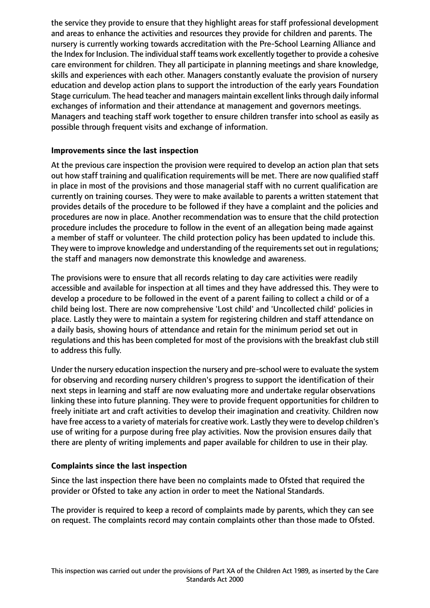the service they provide to ensure that they highlight areas for staff professional development and areas to enhance the activities and resources they provide for children and parents. The nursery is currently working towards accreditation with the Pre-School Learning Alliance and the Index for Inclusion. The individual staff teams work excellently together to provide a cohesive care environment for children. They all participate in planning meetings and share knowledge, skills and experiences with each other. Managers constantly evaluate the provision of nursery education and develop action plans to support the introduction of the early years Foundation Stage curriculum. The head teacher and managers maintain excellent links through daily informal exchanges of information and their attendance at management and governors meetings. Managers and teaching staff work together to ensure children transfer into school as easily as possible through frequent visits and exchange of information.

# **Improvements since the last inspection**

At the previous care inspection the provision were required to develop an action plan that sets out how staff training and qualification requirements will be met. There are now qualified staff in place in most of the provisions and those managerial staff with no current qualification are currently on training courses. They were to make available to parents a written statement that provides details of the procedure to be followed if they have a complaint and the policies and procedures are now in place. Another recommendation was to ensure that the child protection procedure includes the procedure to follow in the event of an allegation being made against a member of staff or volunteer. The child protection policy has been updated to include this. They were to improve knowledge and understanding of the requirementsset out in regulations; the staff and managers now demonstrate this knowledge and awareness.

The provisions were to ensure that all records relating to day care activities were readily accessible and available for inspection at all times and they have addressed this. They were to develop a procedure to be followed in the event of a parent failing to collect a child or of a child being lost. There are now comprehensive 'Lost child' and 'Uncollected child' policies in place. Lastly they were to maintain a system for registering children and staff attendance on a daily basis, showing hours of attendance and retain for the minimum period set out in regulations and this has been completed for most of the provisions with the breakfast club still to address this fully.

Under the nursery education inspection the nursery and pre-school were to evaluate the system for observing and recording nursery children's progress to support the identification of their next steps in learning and staff are now evaluating more and undertake regular observations linking these into future planning. They were to provide frequent opportunities for children to freely initiate art and craft activities to develop their imagination and creativity. Children now have free access to a variety of materials for creative work. Lastly they were to develop children's use of writing for a purpose during free play activities. Now the provision ensures daily that there are plenty of writing implements and paper available for children to use in their play.

# **Complaints since the last inspection**

Since the last inspection there have been no complaints made to Ofsted that required the provider or Ofsted to take any action in order to meet the National Standards.

The provider is required to keep a record of complaints made by parents, which they can see on request. The complaints record may contain complaints other than those made to Ofsted.